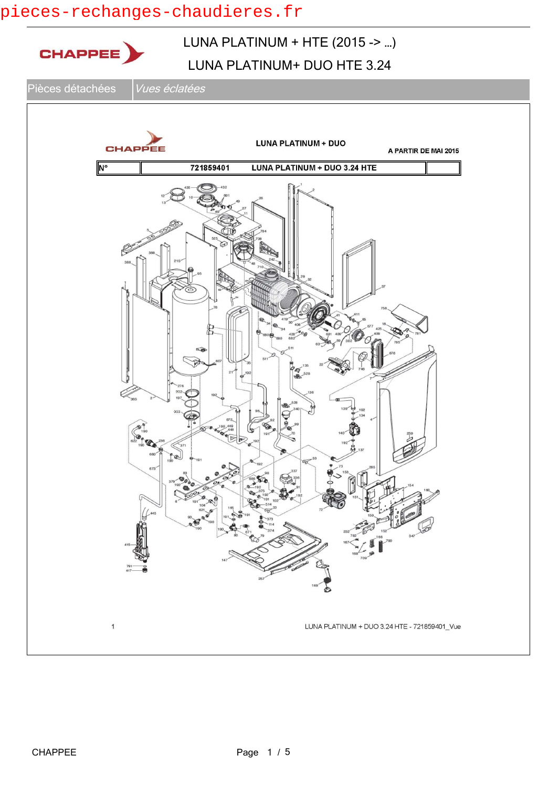## pieces-rechanges-chaudieres.fr

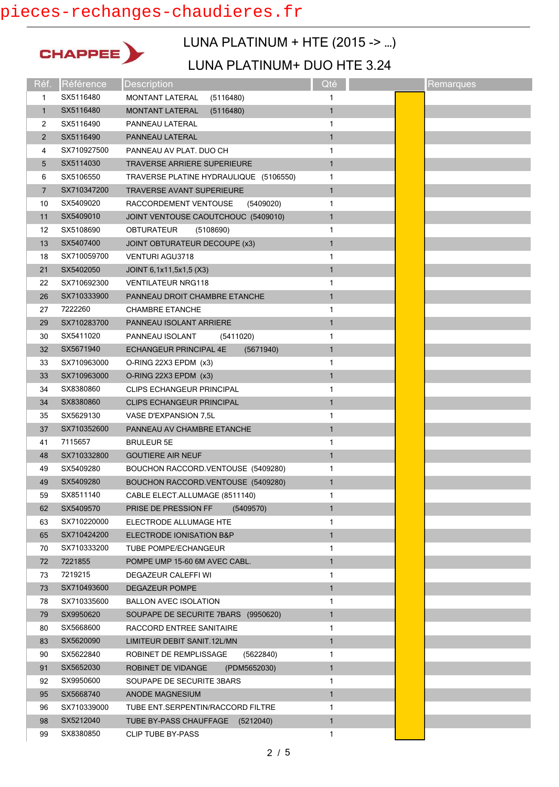# pieces-rechanges-chaudieres.fr



## LUNA PLATINUM + HTE (2015 -> …)

| Réf.           | Référence   | <b>Description</b>                     | Qté          | Remarques |
|----------------|-------------|----------------------------------------|--------------|-----------|
| 1              | SX5116480   | <b>MONTANT LATERAL</b><br>(5116480)    | 1            |           |
| $\mathbf{1}$   | SX5116480   | <b>MONTANT LATERAL</b><br>(5116480)    | 1            |           |
| 2              | SX5116490   | PANNEAU LATERAL                        | 1            |           |
| $\overline{2}$ | SX5116490   | PANNEAU LATERAL                        | $\mathbf{1}$ |           |
| 4              | SX710927500 | PANNEAU AV PLAT. DUO CH                | 1            |           |
| 5              | SX5114030   | <b>TRAVERSE ARRIERE SUPERIEURE</b>     | $\mathbf{1}$ |           |
| 6              | SX5106550   | TRAVERSE PLATINE HYDRAULIQUE (5106550) | 1            |           |
| 7              | SX710347200 | <b>TRAVERSE AVANT SUPERIEURE</b>       | $\mathbf{1}$ |           |
| 10             | SX5409020   | (5409020)<br>RACCORDEMENT VENTOUSE     | 1            |           |
| 11             | SX5409010   | JOINT VENTOUSE CAOUTCHOUC (5409010)    | $\mathbf{1}$ |           |
| 12             | SX5108690   | <b>OBTURATEUR</b><br>(5108690)         | 1            |           |
| 13             | SX5407400   | JOINT OBTURATEUR DECOUPE (x3)          | $\mathbf{1}$ |           |
| 18             | SX710059700 | <b>VENTURI AGU3718</b>                 | 1            |           |
| 21             | SX5402050   | JOINT 6,1x11,5x1,5 (X3)                | $\mathbf{1}$ |           |
| 22             | SX710692300 | <b>VENTILATEUR NRG118</b>              | 1            |           |
| 26             | SX710333900 | PANNEAU DROIT CHAMBRE ETANCHE          | 1            |           |
| 27             | 7222260     | <b>CHAMBRE ETANCHE</b>                 | 1            |           |
| 29             | SX710283700 | PANNEAU ISOLANT ARRIERE                | $\mathbf{1}$ |           |
| 30             | SX5411020   | PANNEAU ISOLANT<br>(5411020)           | 1            |           |
| 32             | SX5671940   | ECHANGEUR PRINCIPAL 4E<br>(5671940)    | $\mathbf{1}$ |           |
| 33             | SX710963000 | O-RING 22X3 EPDM (x3)                  | 1            |           |
| 33             | SX710963000 | O-RING 22X3 EPDM (x3)                  | $\mathbf{1}$ |           |
| 34             | SX8380860   | <b>CLIPS ECHANGEUR PRINCIPAL</b>       | 1            |           |
| 34             | SX8380860   | <b>CLIPS ECHANGEUR PRINCIPAL</b>       | 1            |           |
| 35             | SX5629130   | VASE D'EXPANSION 7,5L                  | 1            |           |
| 37             | SX710352600 | PANNEAU AV CHAMBRE ETANCHE             | $\mathbf{1}$ |           |
| 41             | 7115657     | <b>BRULEUR 5E</b>                      | 1            |           |
| 48             | SX710332800 | <b>GOUTIERE AIR NEUF</b>               | $\mathbf{1}$ |           |
| 49             | SX5409280   | BOUCHON RACCORD.VENTOUSE (5409280)     | 1            |           |
| 49             | SX5409280   | BOUCHON RACCORD.VENTOUSE (5409280)     | $\mathbf{1}$ |           |
| 59             | SX8511140   | CABLE ELECT.ALLUMAGE (8511140)         | 1            |           |
| 62             | SX5409570   | PRISE DE PRESSION FF<br>(5409570)      | $\mathbf{1}$ |           |
| 63             | SX710220000 | ELECTRODE ALLUMAGE HTE                 | 1            |           |
| 65             | SX710424200 | ELECTRODE IONISATION B&P               | $\mathbf{1}$ |           |
| 70             | SX710333200 | TUBE POMPE/ECHANGEUR                   | 1            |           |
| 72             | 7221855     | POMPE UMP 15-60 6M AVEC CABL.          | $\mathbf{1}$ |           |
| 73             | 7219215     | DEGAZEUR CALEFFI WI                    | 1            |           |
| 73             | SX710493600 | DEGAZEUR POMPE                         | 1            |           |
| 78             | SX710335600 | <b>BALLON AVEC ISOLATION</b>           | 1            |           |
| 79             | SX9950620   | SOUPAPE DE SECURITE 7BARS (9950620)    | 1            |           |
| 80             | SX5668600   | RACCORD ENTREE SANITAIRE               | 1            |           |
| 83             | SX5620090   | LIMITEUR DEBIT SANIT.12L/MN            | $\mathbf{1}$ |           |
| 90             | SX5622840   | ROBINET DE REMPLISSAGE<br>(5622840)    | 1            |           |
| 91             | SX5652030   | ROBINET DE VIDANGE<br>(PDM5652030)     | $\mathbf{1}$ |           |
| 92             | SX9950600   | SOUPAPE DE SECURITE 3BARS              | 1            |           |
| 95             | SX5668740   | <b>ANODE MAGNESIUM</b>                 | $\mathbf{1}$ |           |
| 96             | SX710339000 | TUBE ENT.SERPENTIN/RACCORD FILTRE      | 1            |           |
| 98             | SX5212040   | TUBE BY-PASS CHAUFFAGE (5212040)       | $\mathbf{1}$ |           |
| 99             | SX8380850   | <b>CLIP TUBE BY-PASS</b>               | 1            |           |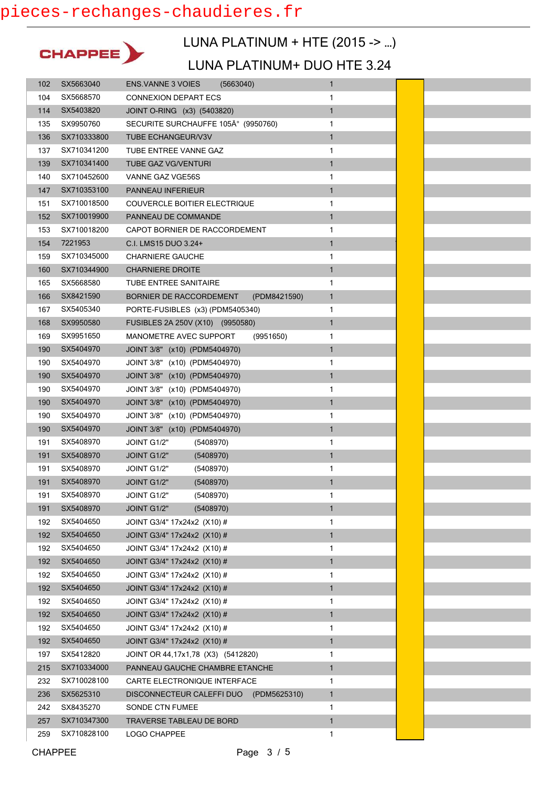

# LUNA PLATINUM + HTE (2015 -> …)

| 102 | SX5663040   | <b>ENS. VANNE 3 VOIES</b><br>(5663040)    | $\mathbf{1}$ |  |
|-----|-------------|-------------------------------------------|--------------|--|
| 104 | SX5668570   | <b>CONNEXION DEPART ECS</b>               | 1            |  |
| 114 | SX5403820   | JOINT O-RING (x3) (5403820)               | $\mathbf{1}$ |  |
| 135 | SX9950760   | SECURITE SURCHAUFFE 105° (9950760)        | 1            |  |
| 136 | SX710333800 | <b>TUBE ECHANGEUR/V3V</b>                 | 1            |  |
| 137 | SX710341200 | TUBE ENTREE VANNE GAZ                     | 1            |  |
| 139 | SX710341400 | <b>TUBE GAZ VG/VENTURI</b>                | $\mathbf{1}$ |  |
| 140 | SX710452600 | VANNE GAZ VGE56S                          | 1            |  |
| 147 | SX710353100 | PANNEAU INFERIEUR                         | $\mathbf{1}$ |  |
| 151 | SX710018500 | COUVERCLE BOITIER ELECTRIQUE              | 1            |  |
| 152 | SX710019900 | PANNEAU DE COMMANDE                       | $\mathbf{1}$ |  |
| 153 | SX710018200 | CAPOT BORNIER DE RACCORDEMENT             | 1            |  |
| 154 | 7221953     | C.I. LMS15 DUO 3.24+                      | 1            |  |
| 159 | SX710345000 | <b>CHARNIERE GAUCHE</b>                   | 1            |  |
| 160 | SX710344900 | <b>CHARNIERE DROITE</b>                   | $\mathbf{1}$ |  |
| 165 | SX5668580   | TUBE ENTREE SANITAIRE                     | 1            |  |
| 166 | SX8421590   | BORNIER DE RACCORDEMENT<br>(PDM8421590)   | $\mathbf{1}$ |  |
| 167 | SX5405340   | PORTE-FUSIBLES (x3) (PDM5405340)          | 1            |  |
| 168 | SX9950580   | FUSIBLES 2A 250V (X10) (9950580)          | $\mathbf{1}$ |  |
| 169 | SX9951650   | MANOMETRE AVEC SUPPORT<br>(9951650)       | 1            |  |
| 190 | SX5404970   | JOINT 3/8" (x10) (PDM5404970)             | $\mathbf{1}$ |  |
| 190 | SX5404970   | JOINT 3/8" (x10) (PDM5404970)             | 1            |  |
| 190 | SX5404970   | JOINT 3/8" (x10) (PDM5404970)             | $\mathbf{1}$ |  |
| 190 | SX5404970   | JOINT 3/8" (x10) (PDM5404970)             | 1            |  |
| 190 | SX5404970   | JOINT 3/8" (x10) (PDM5404970)             | $\mathbf{1}$ |  |
| 190 | SX5404970   | JOINT 3/8" (x10) (PDM5404970)             | 1            |  |
| 190 | SX5404970   | JOINT 3/8" (x10) (PDM5404970)             | 1            |  |
| 191 | SX5408970   | JOINT G1/2"<br>(5408970)                  | 1            |  |
| 191 | SX5408970   | (5408970)<br>JOINT G1/2"                  | $\mathbf{1}$ |  |
| 191 | SX5408970   | (5408970)<br>JOINT G1/2"                  | 1            |  |
| 191 | SX5408970   | JOINT G1/2"<br>(5408970)                  | $\mathbf{1}$ |  |
| 191 | SX5408970   | (5408970)<br>JOINT G1/2"                  | 1            |  |
| 191 | SX5408970   | JOINT G1/2"<br>(5408970)                  | $\mathbf{1}$ |  |
| 192 | SX5404650   | JOINT G3/4" 17x24x2 (X10) #               | 1            |  |
| 192 | SX5404650   | JOINT G3/4" 17x24x2 (X10) #               | $\mathbf{1}$ |  |
| 192 | SX5404650   | JOINT G3/4" 17x24x2 (X10) #               | 1            |  |
| 192 | SX5404650   | JOINT G3/4" 17x24x2 (X10) #               | $\mathbf{1}$ |  |
| 192 | SX5404650   | JOINT G3/4" 17x24x2 (X10) #               | 1            |  |
| 192 | SX5404650   | JOINT G3/4" 17x24x2 (X10) #               | $\mathbf{1}$ |  |
| 192 | SX5404650   | JOINT G3/4" 17x24x2 (X10) #               | 1            |  |
| 192 | SX5404650   | JOINT G3/4" 17x24x2 (X10) #               | $\mathbf{1}$ |  |
| 192 | SX5404650   | JOINT G3/4" 17x24x2 (X10) #               | 1            |  |
| 192 | SX5404650   | JOINT G3/4" 17x24x2 (X10) #               | 1            |  |
| 197 | SX5412820   | JOINT OR 44, 17x1, 78 (X3) (5412820)      | 1            |  |
| 215 | SX710334000 | PANNEAU GAUCHE CHAMBRE ETANCHE            | $\mathbf{1}$ |  |
| 232 | SX710028100 | CARTE ELECTRONIQUE INTERFACE              | 1            |  |
| 236 | SX5625310   | DISCONNECTEUR CALEFFI DUO<br>(PDM5625310) | $\mathbf{1}$ |  |
| 242 | SX8435270   | SONDE CTN FUMEE                           | 1            |  |
| 257 | SX710347300 | TRAVERSE TABLEAU DE BORD                  | $\mathbf{1}$ |  |
| 259 | SX710828100 | LOGO CHAPPEE                              | 1            |  |
|     |             |                                           |              |  |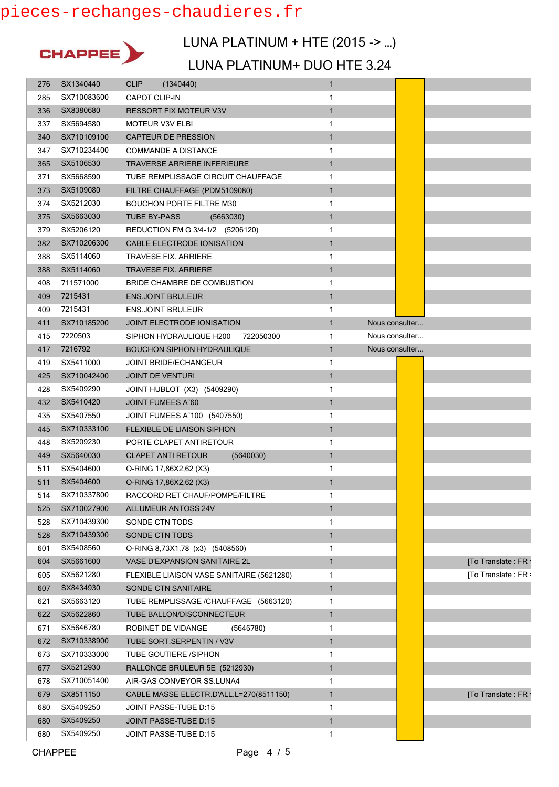

### LUNA PLATINUM + HTE (2015 -> …)

|     | SX1340440   | <b>CLIP</b><br>(1340440)                  | $\mathbf{1}$                   |                    |
|-----|-------------|-------------------------------------------|--------------------------------|--------------------|
| 285 | SX710083600 | <b>CAPOT CLIP-IN</b>                      | 1                              |                    |
| 336 | SX8380680   | <b>RESSORT FIX MOTEUR V3V</b>             | $\mathbf{1}$                   |                    |
| 337 | SX5694580   | <b>MOTEUR V3V ELBI</b>                    | 1                              |                    |
| 340 | SX710109100 | <b>CAPTEUR DE PRESSION</b>                | $\mathbf{1}$                   |                    |
| 347 | SX710234400 | <b>COMMANDE A DISTANCE</b>                | 1                              |                    |
| 365 | SX5106530   | <b>TRAVERSE ARRIERE INFERIEURE</b>        | $\mathbf{1}$                   |                    |
| 371 | SX5668590   | TUBE REMPLISSAGE CIRCUIT CHAUFFAGE        | 1                              |                    |
| 373 | SX5109080   | FILTRE CHAUFFAGE (PDM5109080)             | $\mathbf{1}$                   |                    |
| 374 | SX5212030   | <b>BOUCHON PORTE FILTRE M30</b>           | 1                              |                    |
| 375 | SX5663030   | <b>TUBE BY-PASS</b><br>(5663030)          | $\mathbf{1}$                   |                    |
| 379 | SX5206120   | REDUCTION FM G 3/4-1/2 (5206120)          | 1                              |                    |
| 382 | SX710206300 | CABLE ELECTRODE IONISATION                | $\mathbf{1}$                   |                    |
| 388 | SX5114060   | TRAVESE FIX. ARRIERE                      | 1                              |                    |
| 388 | SX5114060   | <b>TRAVESE FIX. ARRIERE</b>               | $\mathbf{1}$                   |                    |
| 408 | 711571000   | BRIDE CHAMBRE DE COMBUSTION               | 1                              |                    |
| 409 | 7215431     | <b>ENS.JOINT BRULEUR</b>                  | $\mathbf{1}$                   |                    |
| 409 | 7215431     | <b>ENS.JOINT BRULEUR</b>                  | 1                              |                    |
| 411 | SX710185200 | <b>JOINT ELECTRODE IONISATION</b>         | 1<br>Nous consulter            |                    |
| 415 | 7220503     | SIPHON HYDRAULIQUE H200<br>722050300      | Nous consulter<br>1            |                    |
| 417 | 7216792     | <b>BOUCHON SIPHON HYDRAULIQUE</b>         | $\mathbf{1}$<br>Nous consulter |                    |
| 419 | SX5411000   | JOINT BRIDE/ECHANGEUR                     | 1                              |                    |
| 425 | SX710042400 | <b>JOINT DE VENTURI</b>                   | $\mathbf{1}$                   |                    |
| 428 | SX5409290   | JOINT HUBLOT (X3) (5409290)               | 1                              |                    |
| 432 | SX5410420   | JOINT FUMEES Ã~60                         | $\mathbf{1}$                   |                    |
| 435 | SX5407550   | JOINT FUMEES A ~ 100 (5407550)            | 1                              |                    |
| 445 | SX710333100 | FLEXIBLE DE LIAISON SIPHON                | $\mathbf{1}$                   |                    |
| 448 | SX5209230   | PORTE CLAPET ANTIRETOUR                   | 1                              |                    |
| 449 | SX5640030   | <b>CLAPET ANTI RETOUR</b><br>(5640030)    | $\mathbf{1}$                   |                    |
| 511 | SX5404600   | O-RING 17,86X2,62 (X3)                    | 1                              |                    |
| 511 | SX5404600   | O-RING 17,86X2,62 (X3)                    | $\mathbf{1}$                   |                    |
| 514 | SX710337800 | RACCORD RET CHAUF/POMPE/FILTRE            | $\mathbf{1}$                   |                    |
| 525 | SX710027900 | <b>ALLUMEUR ANTOSS 24V</b>                | 1                              |                    |
| 528 | SX710439300 |                                           |                                |                    |
|     |             | SONDE CTN TODS                            | 1                              |                    |
| 528 | SX710439300 | SONDE CTN TODS                            | $\mathbf{1}$                   |                    |
| 601 | SX5408560   | O-RING 8,73X1,78 (x3) (5408560)           | 1                              |                    |
| 604 | SX5661600   | VASE D'EXPANSION SANITAIRE 2L             | $\mathbf{1}$                   | [To Translate: FR: |
| 605 | SX5621280   | FLEXIBLE LIAISON VASE SANITAIRE (5621280) | 1                              | [To Translate: FR: |
| 607 | SX8434930   | SONDE CTN SANITAIRE                       | $\mathbf{1}$                   |                    |
| 621 | SX5663120   | TUBE REMPLISSAGE /CHAUFFAGE (5663120)     | 1                              |                    |
| 622 | SX5622860   | TUBE BALLON/DISCONNECTEUR                 | $\mathbf{1}$                   |                    |
| 671 | SX5646780   | ROBINET DE VIDANGE<br>(5646780)           | 1                              |                    |
| 672 | SX710338900 | TUBE SORT.SERPENTIN / V3V                 | $\mathbf{1}$                   |                    |
| 673 | SX710333000 | <b>TUBE GOUTIERE /SIPHON</b>              | 1                              |                    |
| 677 | SX5212930   | RALLONGE BRULEUR 5E (5212930)             | $\mathbf{1}$                   |                    |
| 678 | SX710051400 | AIR-GAS CONVEYOR SS.LUNA4                 | 1                              |                    |
| 679 | SX8511150   | CABLE MASSE ELECTR.D'ALL.L=270(8511150)   | $\mathbf{1}$                   | [To Translate: FR  |
| 680 | SX5409250   | JOINT PASSE-TUBE D:15                     | 1                              |                    |
| 680 | SX5409250   | JOINT PASSE-TUBE D:15                     | $\mathbf{1}$                   |                    |